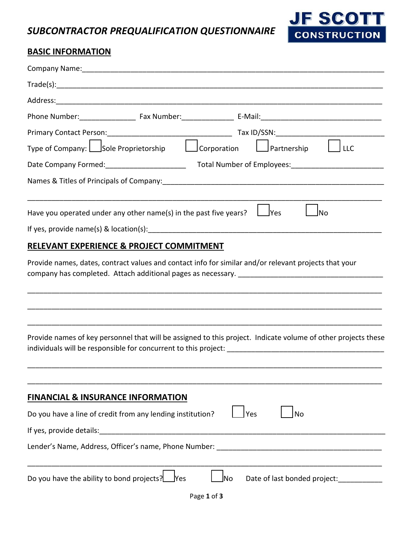*SUBCONTRACTOR PREQUALIFICATION QUESTIONNAIRE*



## **BASIC INFORMATION**

|                                                                   |            | Company Name: Name and Second Company Name and Second Company Name and Second Company Name and Second Company of the Second Company of the Second Company of the Second Company of the Second Company of the Second Company of |
|-------------------------------------------------------------------|------------|--------------------------------------------------------------------------------------------------------------------------------------------------------------------------------------------------------------------------------|
|                                                                   |            |                                                                                                                                                                                                                                |
|                                                                   |            |                                                                                                                                                                                                                                |
|                                                                   |            |                                                                                                                                                                                                                                |
|                                                                   |            |                                                                                                                                                                                                                                |
|                                                                   |            |                                                                                                                                                                                                                                |
|                                                                   |            |                                                                                                                                                                                                                                |
|                                                                   |            |                                                                                                                                                                                                                                |
| Have you operated under any other name(s) in the past five years? |            | $\exists$ Yes<br> No                                                                                                                                                                                                           |
|                                                                   |            |                                                                                                                                                                                                                                |
| RELEVANT EXPERIENCE & PROJECT COMMITMENT                          |            |                                                                                                                                                                                                                                |
|                                                                   |            | Provide names, dates, contract values and contact info for similar and/or relevant projects that your                                                                                                                          |
|                                                                   |            | Provide names of key personnel that will be assigned to this project. Indicate volume of other projects these                                                                                                                  |
| <b>FINANCIAL &amp; INSURANCE INFORMATION</b>                      |            |                                                                                                                                                                                                                                |
| Do you have a line of credit from any lending institution?        |            | Yes<br><b>No</b>                                                                                                                                                                                                               |
| If yes, provide details:                                          |            |                                                                                                                                                                                                                                |
| Lender's Name, Address, Officer's name, Phone Number:             |            |                                                                                                                                                                                                                                |
| Do you have the ability to bond projects?                         | <b>Yes</b> | Date of last bonded project:<br>]No                                                                                                                                                                                            |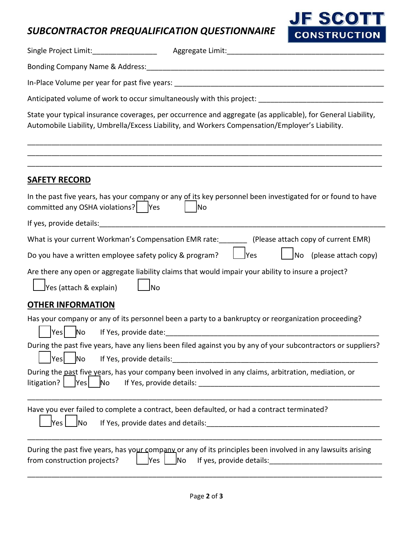## *SUBCONTRACTOR PREQUALIFICATION QUESTIONNAIRE*



|                                                         | State your typical insurance coverages, per occurrence and aggregate (as applicable), for General Liability,<br>Automobile Liability, Umbrella/Excess Liability, and Workers Compensation/Employer's Liability. |
|---------------------------------------------------------|-----------------------------------------------------------------------------------------------------------------------------------------------------------------------------------------------------------------|
| <u>SAFETY RECORD</u>                                    |                                                                                                                                                                                                                 |
| committed any OSHA violations?   Yes                    | In the past five years, has your company or any of its key personnel been investigated for or found to have<br>N <sub>o</sub>                                                                                   |
|                                                         |                                                                                                                                                                                                                 |
|                                                         | What is your current Workman's Compensation EMR rate: [100] (Please attach copy of current EMR)                                                                                                                 |
| Do you have a written employee safety policy & program? | Yes<br>$\sqrt{}$ No (please attach copy)                                                                                                                                                                        |
| <u>l</u> No<br>$\sqrt{2}$ Yes (attach & explain)        | Are there any open or aggregate liability claims that would impair your ability to insure a project?                                                                                                            |
| <b>OTHER INFORMATION</b>                                |                                                                                                                                                                                                                 |
| Yes No                                                  | Has your company or any of its personnel been a party to a bankruptcy or reorganization proceeding?                                                                                                             |
| N <sub>o</sub><br>If Yes, provide details:<br>Yes       | During the past five years, have any liens been filed against you by any of your subcontractors or suppliers?                                                                                                   |
| litigation? $ $<br>Yes<br>No                            | During the past five years, has your company been involved in any claims, arbitration, mediation, or                                                                                                            |
| <b>No</b><br> Yes                                       | Have you ever failed to complete a contract, been defaulted, or had a contract terminated?                                                                                                                      |
| Yes<br>from construction projects?                      | During the past five years, has your company or any of its principles been involved in any lawsuits arising<br>N <sub>o</sub><br>If yes, provide details:                                                       |